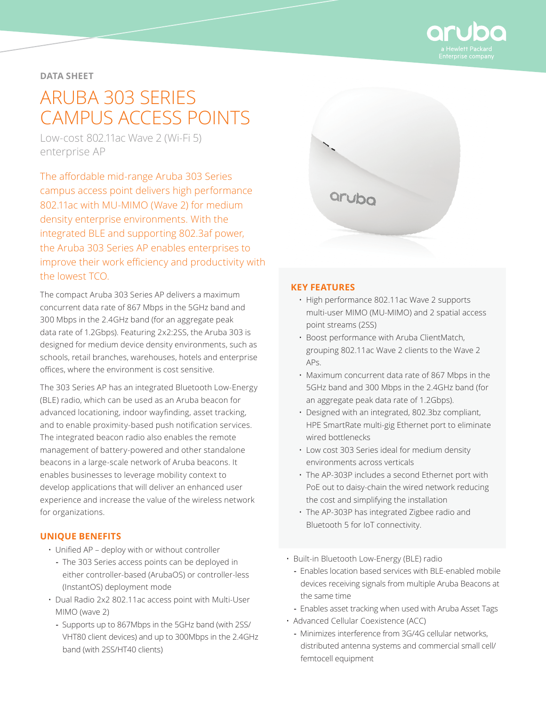

**DATA SHEET**

# ARUBA 303 SERIES CAMPUS ACCESS POINTS

Low-cost 802.11ac Wave 2 (Wi-Fi 5) enterprise AP

The affordable mid-range Aruba 303 Series campus access point delivers high performance 802.11ac with MU-MIMO (Wave 2) for medium density enterprise environments. With the integrated BLE and supporting 802.3af power, the Aruba 303 Series AP enables enterprises to improve their work efficiency and productivity with the lowest TCO.

The compact Aruba 303 Series AP delivers a maximum concurrent data rate of 867 Mbps in the 5GHz band and 300 Mbps in the 2.4GHz band (for an aggregate peak data rate of 1.2Gbps). Featuring 2x2:2SS, the Aruba 303 is designed for medium device density environments, such as schools, retail branches, warehouses, hotels and enterprise offices, where the environment is cost sensitive.

The 303 Series AP has an integrated Bluetooth Low-Energy (BLE) radio, which can be used as an Aruba beacon for advanced locationing, indoor wayfinding, asset tracking, and to enable proximity-based push notification services. The integrated beacon radio also enables the remote management of battery-powered and other standalone beacons in a large-scale network of Aruba beacons. It enables businesses to leverage mobility context to develop applications that will deliver an enhanced user experience and increase the value of the wireless network for organizations.

# **UNIQUE BENEFITS**

- Unified AP deploy with or without controller
	- **-** The 303 Series access points can be deployed in either controller-based (ArubaOS) or controller-less (InstantOS) deployment mode
- Dual Radio 2x2 802.11ac access point with Multi-User MIMO (wave 2)
	- **-** Supports up to 867Mbps in the 5GHz band (with 2SS/ VHT80 client devices) and up to 300Mbps in the 2.4GHz band (with 2SS/HT40 clients)



## **KEY FEATURES**

- High performance 802.11ac Wave 2 supports multi‑user MIMO (MU-MIMO) and 2 spatial access point streams (2SS)
- Boost performance with Aruba ClientMatch, grouping 802.11ac Wave 2 clients to the Wave 2 APs.
- Maximum concurrent data rate of 867 Mbps in the 5GHz band and 300 Mbps in the 2.4GHz band (for an aggregate peak data rate of 1.2Gbps).
- Designed with an integrated, 802.3bz compliant, HPE SmartRate multi-gig Ethernet port to eliminate wired bottlenecks
- Low cost 303 Series ideal for medium density environments across verticals
- The AP-303P includes a second Ethernet port with PoE out to daisy-chain the wired network reducing the cost and simplifying the installation
- The AP-303P has integrated Zigbee radio and Bluetooth 5 for IoT connectivity.
- Built-in Bluetooth Low-Energy (BLE) radio
	- **-** Enables location based services with BLE-enabled mobile devices receiving signals from multiple Aruba Beacons at the same time
	- **-** Enables asset tracking when used with Aruba Asset Tags
- Advanced Cellular Coexistence (ACC)
	- **-** Minimizes interference from 3G/4G cellular networks, distributed antenna systems and commercial small cell/ femtocell equipment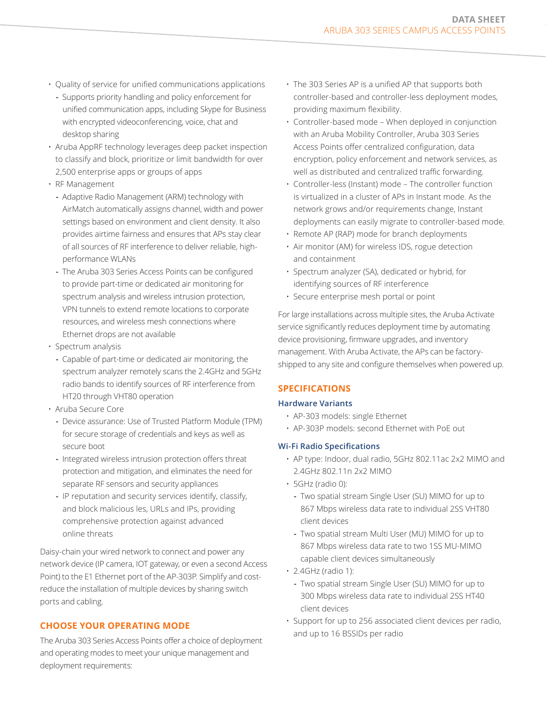- Quality of service for unified communications applications
- **-** Supports priority handling and policy enforcement for unified communication apps, including Skype for Business with encrypted videoconferencing, voice, chat and desktop sharing
- Aruba AppRF technology leverages deep packet inspection to classify and block, prioritize or limit bandwidth for over 2,500 enterprise apps or groups of apps
- RF Management
	- **-** Adaptive Radio Management (ARM) technology with AirMatch automatically assigns channel, width and power settings based on environment and client density. It also provides airtime fairness and ensures that APs stay clear of all sources of RF interference to deliver reliable, highperformance WLANs
	- **-** The Aruba 303 Series Access Points can be configured to provide part-time or dedicated air monitoring for spectrum analysis and wireless intrusion protection, VPN tunnels to extend remote locations to corporate resources, and wireless mesh connections where Ethernet drops are not available
- Spectrum analysis
	- **-** Capable of part-time or dedicated air monitoring, the spectrum analyzer remotely scans the 2.4GHz and 5GHz radio bands to identify sources of RF interference from HT20 through VHT80 operation
- Aruba Secure Core
	- **-** Device assurance: Use of Trusted Platform Module (TPM) for secure storage of credentials and keys as well as secure boot
	- **-** Integrated wireless intrusion protection offers threat protection and mitigation, and eliminates the need for separate RF sensors and security appliances
	- **-** IP reputation and security services identify, classify, and block malicious les, URLs and IPs, providing comprehensive protection against advanced online threats

Daisy-chain your wired network to connect and power any network device (IP camera, IOT gateway, or even a second Access Point) to the E1 Ethernet port of the AP-303P. Simplify and costreduce the installation of multiple devices by sharing switch ports and cabling.

## **CHOOSE YOUR OPERATING MODE**

The Aruba 303 Series Access Points offer a choice of deployment and operating modes to meet your unique management and deployment requirements:

- The 303 Series AP is a unified AP that supports both controller-based and controller-less deployment modes, providing maximum flexibility.
- Controller-based mode When deployed in conjunction with an Aruba Mobility Controller, Aruba 303 Series Access Points offer centralized configuration, data encryption, policy enforcement and network services, as well as distributed and centralized traffic forwarding.
- Controller-less (Instant) mode The controller function is virtualized in a cluster of APs in Instant mode. As the network grows and/or requirements change, Instant deployments can easily migrate to controller-based mode.
- Remote AP (RAP) mode for branch deployments
- Air monitor (AM) for wireless IDS, rogue detection and containment
- Spectrum analyzer (SA), dedicated or hybrid, for identifying sources of RF interference
- Secure enterprise mesh portal or point

For large installations across multiple sites, the Aruba Activate service significantly reduces deployment time by automating device provisioning, firmware upgrades, and inventory management. With Aruba Activate, the APs can be factoryshipped to any site and configure themselves when powered up.

## **SPECIFICATIONS**

#### **Hardware Variants**

- AP-303 models: single Ethernet
- AP-303P models: second Ethernet with PoE out

## **Wi-Fi Radio Specifications**

- AP type: Indoor, dual radio, 5GHz 802.11ac 2x2 MIMO and 2.4GHz 802.11n 2x2 MIMO
- 5GHz (radio 0):
	- **-** Two spatial stream Single User (SU) MIMO for up to 867 Mbps wireless data rate to individual 2SS VHT80 client devices
	- **-** Two spatial stream Multi User (MU) MIMO for up to 867 Mbps wireless data rate to two 1SS MU-MIMO capable client devices simultaneously
- 2.4GHz (radio 1):
	- **-** Two spatial stream Single User (SU) MIMO for up to 300 Mbps wireless data rate to individual 2SS HT40 client devices
- Support for up to 256 associated client devices per radio, and up to 16 BSSIDs per radio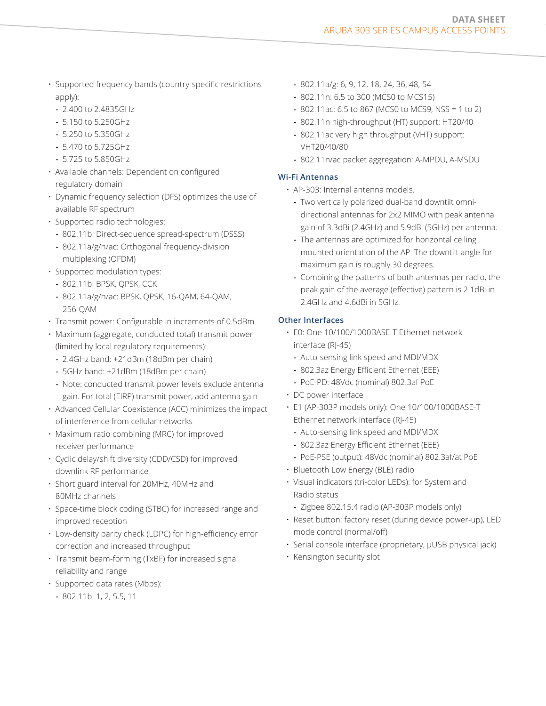- Supported frequency bands (country-specific restrictions apply):
	- **-** 2.400 to 2.4835GHz
	- **-** 5.150 to 5.250GHz
	- **-** 5.250 to 5.350GHz
	- **-** 5.470 to 5.725GHz
	- **-** 5.725 to 5.850GHz
- Available channels: Dependent on configured regulatory domain
- Dynamic frequency selection (DFS) optimizes the use of available RF spectrum
- Supported radio technologies:
	- **-** 802.11b: Direct-sequence spread-spectrum (DSSS)
	- **-** 802.11a/g/n/ac: Orthogonal frequency-division multiplexing (OFDM)
- Supported modulation types:
	- **-** 802.11b: BPSK, QPSK, CCK
	- **-** 802.11a/g/n/ac: BPSK, QPSK, 16-QAM, 64-QAM, 256-QAM
- Transmit power: Configurable in increments of 0.5dBm
- Maximum (aggregate, conducted total) transmit power (limited by local regulatory requirements):
	- **-** 2.4GHz band: +21dBm (18dBm per chain)
	- **-** 5GHz band: +21dBm (18dBm per chain)
	- **-** Note: conducted transmit power levels exclude antenna gain. For total (EIRP) transmit power, add antenna gain
- Advanced Cellular Coexistence (ACC) minimizes the impact of interference from cellular networks
- Maximum ratio combining (MRC) for improved receiver performance
- Cyclic delay/shift diversity (CDD/CSD) for improved downlink RF performance
- Short guard interval for 20MHz, 40MHz and 80MHz channels
- Space-time block coding (STBC) for increased range and improved reception
- Low-density parity check (LDPC) for high-efficiency error correction and increased throughput
- Transmit beam-forming (TxBF) for increased signal reliability and range
- Supported data rates (Mbps):
	- **-** 802.11b: 1, 2, 5.5, 11
- **-** 802.11a/g: 6, 9, 12, 18, 24, 36, 48, 54
- **-** 802.11n: 6.5 to 300 (MCS0 to MCS15)
- **-** 802.11ac: 6.5 to 867 (MCS0 to MCS9, NSS = 1 to 2)
- **-** 802.11n high-throughput (HT) support: HT20/40
- **-** 802.11ac very high throughput (VHT) support: VHT20/40/80
- **-** 802.11n/ac packet aggregation: A-MPDU, A-MSDU

## **Wi-Fi Antennas**

- AP-303: Internal antenna models.
	- **-** Two vertically polarized dual-band downtilt omnidirectional antennas for 2x2 MIMO with peak antenna gain of 3.3dBi (2.4GHz) and 5.9dBi (5GHz) per antenna.
	- **-** The antennas are optimized for horizontal ceiling mounted orientation of the AP. The downtilt angle for maximum gain is roughly 30 degrees.
	- **-** Combining the patterns of both antennas per radio, the peak gain of the average (effective) pattern is 2.1dBi in 2.4GHz and 4.6dBi in 5GHz.

# **Other Interfaces**

- E0: One 10/100/1000BASE-T Ethernet network interface (RJ-45)
	- **-** Auto-sensing link speed and MDI/MDX
	- **-** 802.3az Energy Efficient Ethernet (EEE)
	- **-** PoE-PD: 48Vdc (nominal) 802.3af PoE
- DC power interface
- E1 (AP-303P models only): One 10/100/1000BASE-T Ethernet network interface (RJ-45)
	- **-** Auto-sensing link speed and MDI/MDX
	- **-** 802.3az Energy Efficient Ethernet (EEE)
	- **-** PoE-PSE (output): 48Vdc (nominal) 802.3af/at PoE
- Bluetooth Low Energy (BLE) radio
- Visual indicators (tri-color LEDs): for System and Radio status
	- **-** Zigbee 802.15.4 radio (AP-303P models only)
- Reset button: factory reset (during device power-up), LED mode control (normal/off)
- Serial console interface (proprietary, µUSB physical jack)
- Kensington security slot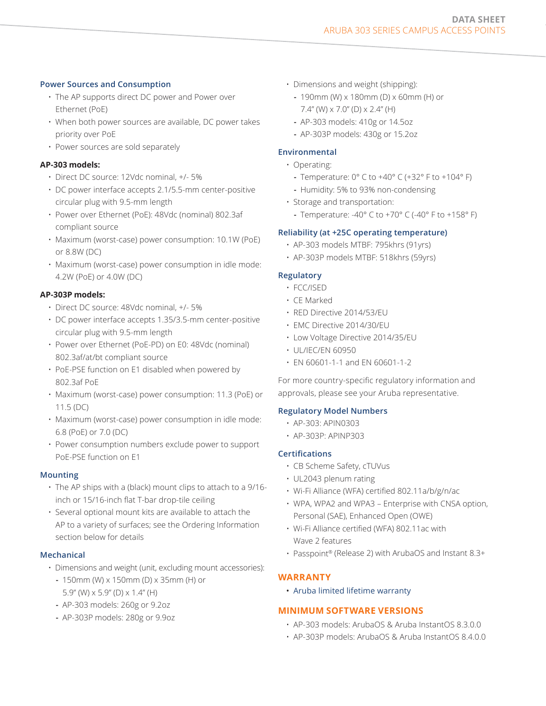#### **Power Sources and Consumption**

- The AP supports direct DC power and Power over Ethernet (PoE)
- When both power sources are available, DC power takes priority over PoE
- Power sources are sold separately

## **AP-303 models:**

- Direct DC source: 12Vdc nominal, +/- 5%
- DC power interface accepts 2.1/5.5-mm center-positive circular plug with 9.5-mm length
- Power over Ethernet (PoE): 48Vdc (nominal) 802.3af compliant source
- Maximum (worst-case) power consumption: 10.1W (PoE) or 8.8W (DC)
- Maximum (worst-case) power consumption in idle mode: 4.2W (PoE) or 4.0W (DC)

## **AP-303P models:**

- Direct DC source: 48Vdc nominal, +/- 5%
- DC power interface accepts 1.35/3.5-mm center-positive circular plug with 9.5-mm length
- Power over Ethernet (PoE-PD) on E0: 48Vdc (nominal) 802.3af/at/bt compliant source
- PoE-PSE function on E1 disabled when powered by 802.3af PoE
- Maximum (worst-case) power consumption: 11.3 (PoE) or 11.5 (DC)
- Maximum (worst-case) power consumption in idle mode: 6.8 (PoE) or 7.0 (DC)
- Power consumption numbers exclude power to support PoE-PSE function on E1

## **Mounting**

- The AP ships with a (black) mount clips to attach to a 9/16 inch or 15/16-inch flat T-bar drop-tile ceiling
- Several optional mount kits are available to attach the AP to a variety of surfaces; see the Ordering Information section below for details

#### **Mechanical**

- Dimensions and weight (unit, excluding mount accessories):
	- **-** 150mm (W) x 150mm (D) x 35mm (H) or 5.9" (W) x 5.9" (D) x 1.4" (H)
	- **-** AP-303 models: 260g or 9.2oz
	- **-** AP-303P models: 280g or 9.9oz
- Dimensions and weight (shipping):
	- **-** 190mm (W) x 180mm (D) x 60mm (H) or 7.4" (W)  $\times$  7.0" (D)  $\times$  2.4" (H)
	- **-** AP-303 models: 410g or 14.5oz
	- **-** AP-303P models: 430g or 15.2oz

## **Environmental**

- Operating:
	- **-** Temperature: 0° C to +40° C (+32° F to +104° F)
	- **-** Humidity: 5% to 93% non-condensing
- Storage and transportation:
	- **-** Temperature: -40° C to +70° C (-40° F to +158° F)

## **Reliability (at +25C operating temperature)**

- AP-303 models MTBF: 795khrs (91yrs)
- AP-303P models MTBF: 518khrs (59yrs)

## **Regulatory**

- FCC/ISED
- CE Marked
- RED Directive 2014/53/EU
- EMC Directive 2014/30/EU
- Low Voltage Directive 2014/35/EU
- UL/IEC/EN 60950
- EN 60601-1-1 and EN 60601-1-2

For more country-specific regulatory information and approvals, please see your Aruba representative.

#### **Regulatory Model Numbers**

- AP-303: APIN0303
- AP-303P: APINP303

## **Certifications**

- CB Scheme Safety, cTUVus
- UL2043 plenum rating
- Wi-Fi Alliance (WFA) certified 802.11a/b/g/n/ac
- WPA, WPA2 and WPA3 Enterprise with CNSA option, Personal (SAE), Enhanced Open (OWE)
- Wi-Fi Alliance certified (WFA) 802.11ac with Wave 2 features
- Passpoint® (Release 2) with ArubaOS and Instant 8.3+

## **WARRANTY**

• [Aruba limited lifetime warranty](http://www.arubanetworks.com/support-services/product-warranties/)

## **MINIMUM SOFTWARE VERSIONS**

- AP-303 models: ArubaOS & Aruba InstantOS 8.3.0.0
- AP-303P models: ArubaOS & Aruba InstantOS 8.4.0.0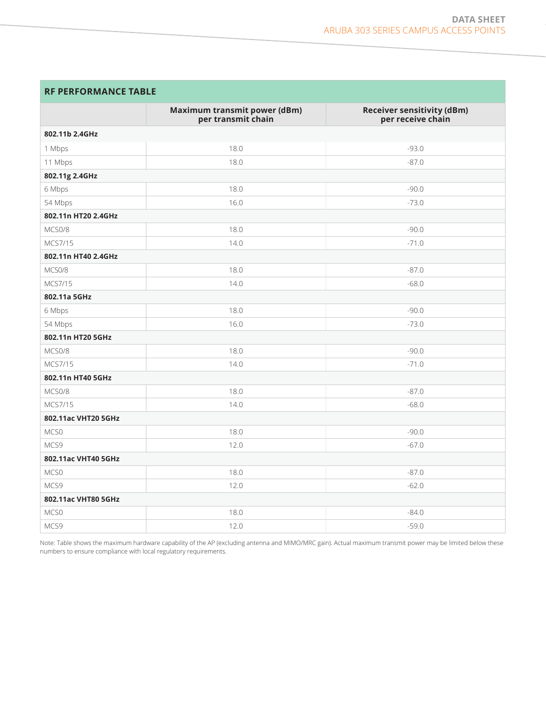# **RF PERFORMANCE TABLE**

|                     | <b>Maximum transmit power (dBm)</b><br>per transmit chain | <b>Receiver sensitivity (dBm)</b><br>per receive chain |
|---------------------|-----------------------------------------------------------|--------------------------------------------------------|
| 802.11b 2.4GHz      |                                                           |                                                        |
| 1 Mbps              | 18.0                                                      | $-93.0$                                                |
| 11 Mbps             | 18.0                                                      | $-87.0$                                                |
| 802.11g 2.4GHz      |                                                           |                                                        |
| 6 Mbps              | 18.0                                                      | $-90.0$                                                |
| 54 Mbps             | 16.0                                                      | $-73.0$                                                |
| 802.11n HT20 2.4GHz |                                                           |                                                        |
| MCS0/8              | 18.0                                                      | $-90.0$                                                |
| MCS7/15             | 14.0                                                      | $-71.0$                                                |
| 802.11n HT40 2.4GHz |                                                           |                                                        |
| MCS0/8              | 18.0                                                      | $-87.0$                                                |
| MCS7/15             | 14.0                                                      | $-68.0$                                                |
| 802.11a 5GHz        |                                                           |                                                        |
| 6 Mbps              | 18.0                                                      | $-90.0$                                                |
| 54 Mbps             | 16.0                                                      | $-73.0$                                                |
| 802.11n HT20 5GHz   |                                                           |                                                        |
| MCS0/8              | 18.0                                                      | $-90.0$                                                |
| MCS7/15             | 14.0                                                      | $-71.0$                                                |
| 802.11n HT40 5GHz   |                                                           |                                                        |
| MCS0/8              | 18.0                                                      | $-87.0$                                                |
| MCS7/15             | 14.0                                                      | $-68.0$                                                |
| 802.11ac VHT20 5GHz |                                                           |                                                        |
| MCS0                | 18.0                                                      | $-90.0$                                                |
| MCS9                | 12.0                                                      | $-67.0$                                                |
| 802.11ac VHT40 5GHz |                                                           |                                                        |
| MCS0                | 18.0                                                      | $-87.0$                                                |
| MCS9                | 12.0                                                      | $-62.0$                                                |
| 802.11ac VHT80 5GHz |                                                           |                                                        |
| MCS0                | 18.0                                                      | $-84.0$                                                |
| MCS9                | 12.0                                                      | $-59.0$                                                |

Note: Table shows the maximum hardware capability of the AP (excluding antenna and MIMO/MRC gain). Actual maximum transmit power may be limited below these numbers to ensure compliance with local regulatory requirements.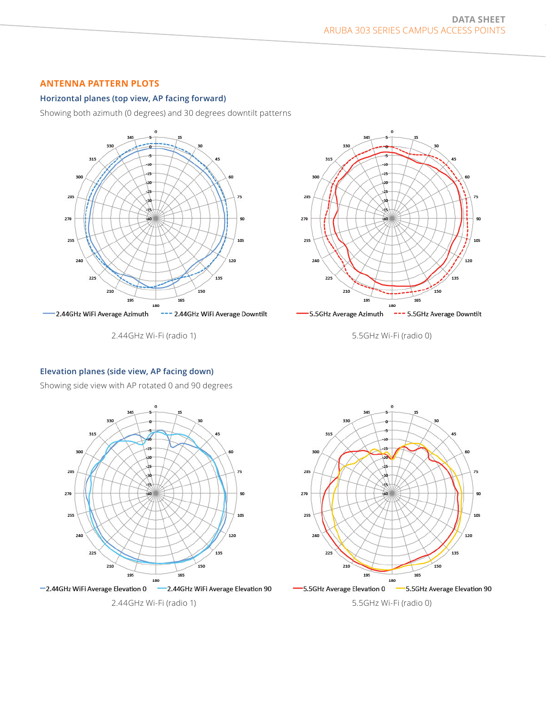## **ANTENNA PATTERN PLOTS**

#### **Horizontal planes (top view, AP facing forward)**

Showing both azimuth (0 degrees) and 30 degrees downtilt patterns



2.44GHz Wi-Fi (radio 1)



5.5GHz Wi-Fi (radio 0)

#### **Elevation planes (side view, AP facing down)**

Showing side view with AP rotated 0 and 90 degrees



2.44GHz Wi-Fi (radio 1)



5.5GHz Wi-Fi (radio 0)